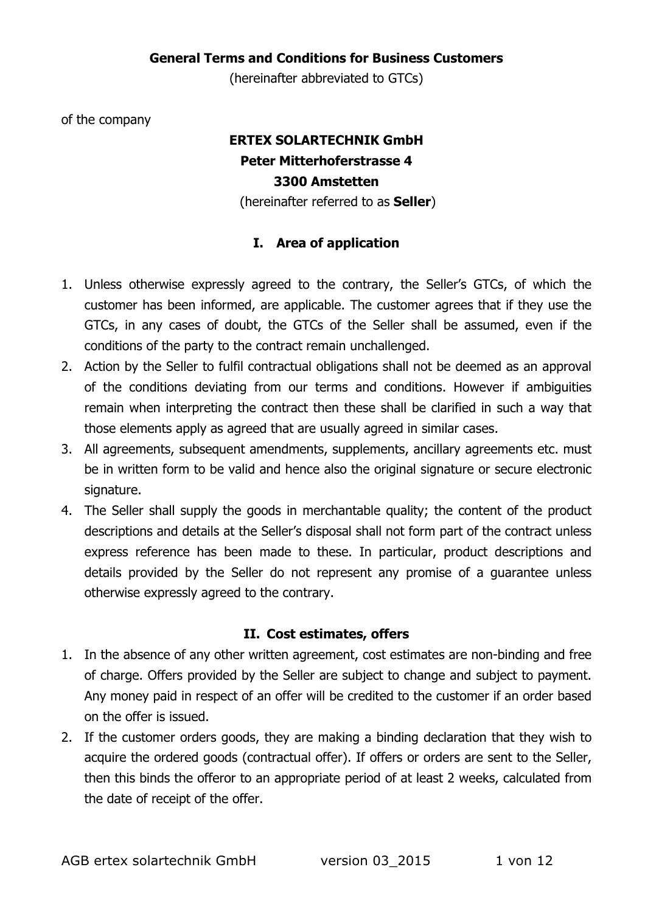#### General Terms and Conditions for Business Customers

(hereinafter abbreviated to GTCs)

of the company

# ERTEX SOLARTECHNIK GmbH Peter Mitterhoferstrasse 4 3300 Amstetten

(hereinafter referred to as **Seller**)

## I. Area of application

- 1. Unless otherwise expressly agreed to the contrary, the Seller's GTCs, of which the customer has been informed, are applicable. The customer agrees that if they use the GTCs, in any cases of doubt, the GTCs of the Seller shall be assumed, even if the conditions of the party to the contract remain unchallenged.
- 2. Action by the Seller to fulfil contractual obligations shall not be deemed as an approval of the conditions deviating from our terms and conditions. However if ambiguities remain when interpreting the contract then these shall be clarified in such a way that those elements apply as agreed that are usually agreed in similar cases.
- 3. All agreements, subsequent amendments, supplements, ancillary agreements etc. must be in written form to be valid and hence also the original signature or secure electronic signature.
- 4. The Seller shall supply the goods in merchantable quality; the content of the product descriptions and details at the Seller's disposal shall not form part of the contract unless express reference has been made to these. In particular, product descriptions and details provided by the Seller do not represent any promise of a guarantee unless otherwise expressly agreed to the contrary.

#### II. Cost estimates, offers

- 1. In the absence of any other written agreement, cost estimates are non-binding and free of charge. Offers provided by the Seller are subject to change and subject to payment. Any money paid in respect of an offer will be credited to the customer if an order based on the offer is issued.
- 2. If the customer orders goods, they are making a binding declaration that they wish to acquire the ordered goods (contractual offer). If offers or orders are sent to the Seller, then this binds the offeror to an appropriate period of at least 2 weeks, calculated from the date of receipt of the offer.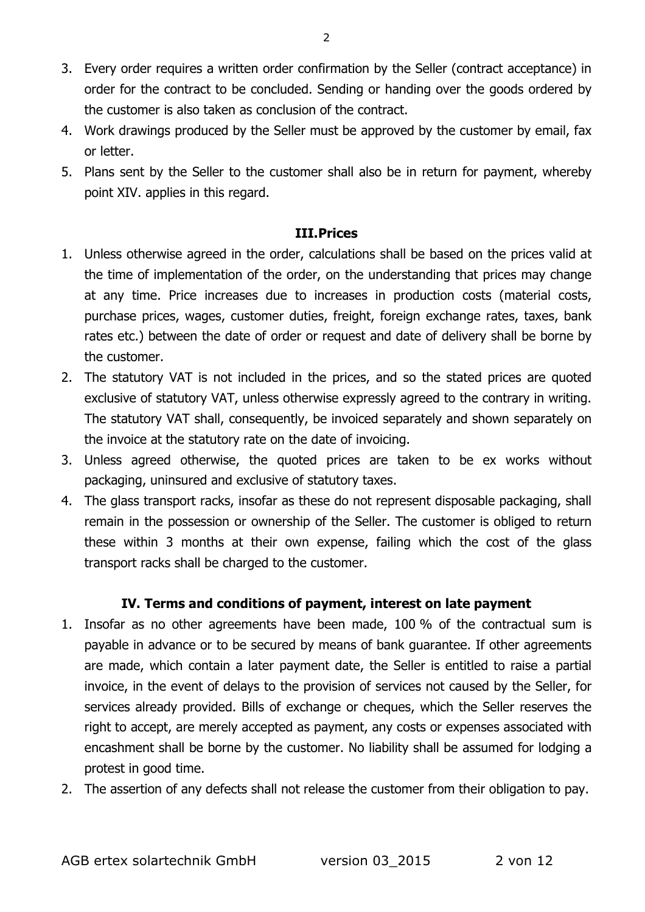- 3. Every order requires a written order confirmation by the Seller (contract acceptance) in order for the contract to be concluded. Sending or handing over the goods ordered by the customer is also taken as conclusion of the contract.
- 4. Work drawings produced by the Seller must be approved by the customer by email, fax or letter.
- 5. Plans sent by the Seller to the customer shall also be in return for payment, whereby point XIV. applies in this regard.

#### III.Prices

- 1. Unless otherwise agreed in the order, calculations shall be based on the prices valid at the time of implementation of the order, on the understanding that prices may change at any time. Price increases due to increases in production costs (material costs, purchase prices, wages, customer duties, freight, foreign exchange rates, taxes, bank rates etc.) between the date of order or request and date of delivery shall be borne by the customer.
- 2. The statutory VAT is not included in the prices, and so the stated prices are quoted exclusive of statutory VAT, unless otherwise expressly agreed to the contrary in writing. The statutory VAT shall, consequently, be invoiced separately and shown separately on the invoice at the statutory rate on the date of invoicing.
- 3. Unless agreed otherwise, the quoted prices are taken to be ex works without packaging, uninsured and exclusive of statutory taxes.
- 4. The glass transport racks, insofar as these do not represent disposable packaging, shall remain in the possession or ownership of the Seller. The customer is obliged to return these within 3 months at their own expense, failing which the cost of the glass transport racks shall be charged to the customer.

#### IV. Terms and conditions of payment, interest on late payment

- 1. Insofar as no other agreements have been made, 100 % of the contractual sum is payable in advance or to be secured by means of bank guarantee. If other agreements are made, which contain a later payment date, the Seller is entitled to raise a partial invoice, in the event of delays to the provision of services not caused by the Seller, for services already provided. Bills of exchange or cheques, which the Seller reserves the right to accept, are merely accepted as payment, any costs or expenses associated with encashment shall be borne by the customer. No liability shall be assumed for lodging a protest in good time.
- 2. The assertion of any defects shall not release the customer from their obligation to pay.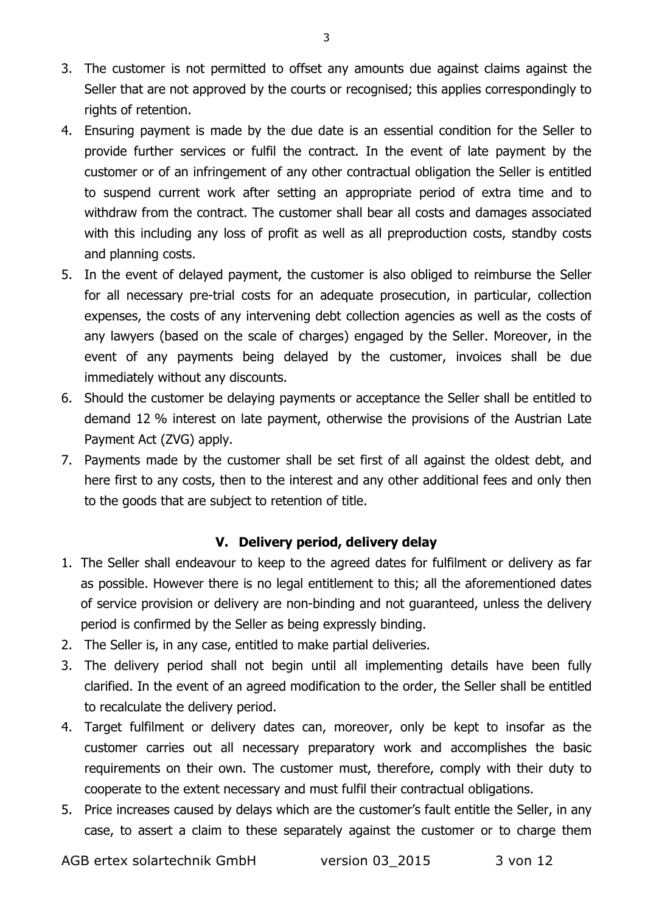- 3. The customer is not permitted to offset any amounts due against claims against the Seller that are not approved by the courts or recognised; this applies correspondingly to rights of retention.
- 4. Ensuring payment is made by the due date is an essential condition for the Seller to provide further services or fulfil the contract. In the event of late payment by the customer or of an infringement of any other contractual obligation the Seller is entitled to suspend current work after setting an appropriate period of extra time and to withdraw from the contract. The customer shall bear all costs and damages associated with this including any loss of profit as well as all preproduction costs, standby costs and planning costs.
- 5. In the event of delayed payment, the customer is also obliged to reimburse the Seller for all necessary pre-trial costs for an adequate prosecution, in particular, collection expenses, the costs of any intervening debt collection agencies as well as the costs of any lawyers (based on the scale of charges) engaged by the Seller. Moreover, in the event of any payments being delayed by the customer, invoices shall be due immediately without any discounts.
- 6. Should the customer be delaying payments or acceptance the Seller shall be entitled to demand 12 % interest on late payment, otherwise the provisions of the Austrian Late Payment Act (ZVG) apply.
- 7. Payments made by the customer shall be set first of all against the oldest debt, and here first to any costs, then to the interest and any other additional fees and only then to the goods that are subject to retention of title.

# V. Delivery period, delivery delay

- 1. The Seller shall endeavour to keep to the agreed dates for fulfilment or delivery as far as possible. However there is no legal entitlement to this; all the aforementioned dates of service provision or delivery are non-binding and not guaranteed, unless the delivery period is confirmed by the Seller as being expressly binding.
- 2. The Seller is, in any case, entitled to make partial deliveries.
- 3. The delivery period shall not begin until all implementing details have been fully clarified. In the event of an agreed modification to the order, the Seller shall be entitled to recalculate the delivery period.
- 4. Target fulfilment or delivery dates can, moreover, only be kept to insofar as the customer carries out all necessary preparatory work and accomplishes the basic requirements on their own. The customer must, therefore, comply with their duty to cooperate to the extent necessary and must fulfil their contractual obligations.
- 5. Price increases caused by delays which are the customer's fault entitle the Seller, in any case, to assert a claim to these separately against the customer or to charge them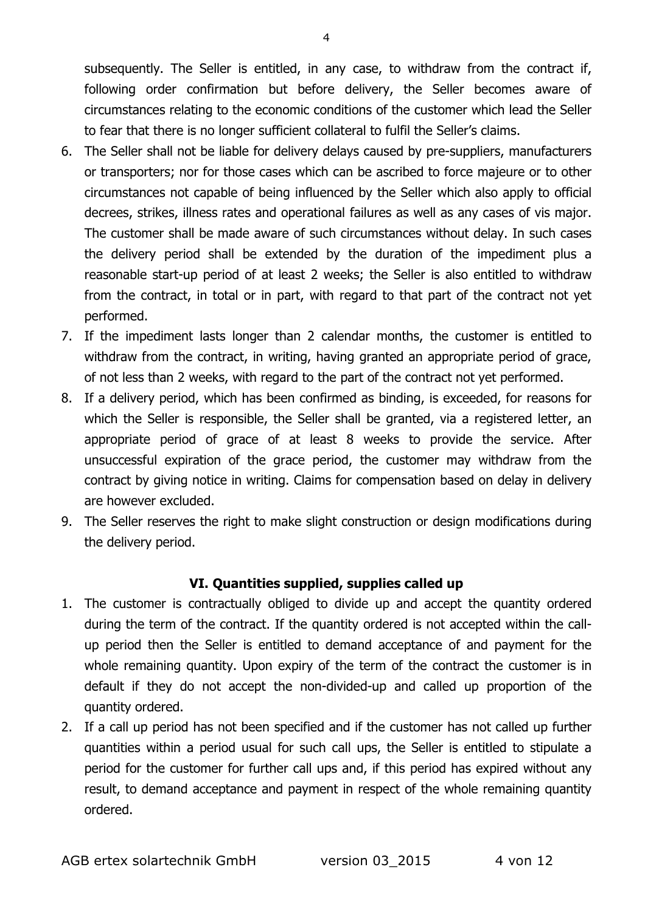subsequently. The Seller is entitled, in any case, to withdraw from the contract if, following order confirmation but before delivery, the Seller becomes aware of circumstances relating to the economic conditions of the customer which lead the Seller to fear that there is no longer sufficient collateral to fulfil the Seller's claims.

- 6. The Seller shall not be liable for delivery delays caused by pre-suppliers, manufacturers or transporters; nor for those cases which can be ascribed to force majeure or to other circumstances not capable of being influenced by the Seller which also apply to official decrees, strikes, illness rates and operational failures as well as any cases of vis major. The customer shall be made aware of such circumstances without delay. In such cases the delivery period shall be extended by the duration of the impediment plus a reasonable start-up period of at least 2 weeks; the Seller is also entitled to withdraw from the contract, in total or in part, with regard to that part of the contract not yet performed.
- 7. If the impediment lasts longer than 2 calendar months, the customer is entitled to withdraw from the contract, in writing, having granted an appropriate period of grace, of not less than 2 weeks, with regard to the part of the contract not yet performed.
- 8. If a delivery period, which has been confirmed as binding, is exceeded, for reasons for which the Seller is responsible, the Seller shall be granted, via a registered letter, an appropriate period of grace of at least 8 weeks to provide the service. After unsuccessful expiration of the grace period, the customer may withdraw from the contract by giving notice in writing. Claims for compensation based on delay in delivery are however excluded.
- 9. The Seller reserves the right to make slight construction or design modifications during the delivery period.

#### VI. Quantities supplied, supplies called up

- 1. The customer is contractually obliged to divide up and accept the quantity ordered during the term of the contract. If the quantity ordered is not accepted within the callup period then the Seller is entitled to demand acceptance of and payment for the whole remaining quantity. Upon expiry of the term of the contract the customer is in default if they do not accept the non-divided-up and called up proportion of the quantity ordered.
- 2. If a call up period has not been specified and if the customer has not called up further quantities within a period usual for such call ups, the Seller is entitled to stipulate a period for the customer for further call ups and, if this period has expired without any result, to demand acceptance and payment in respect of the whole remaining quantity ordered.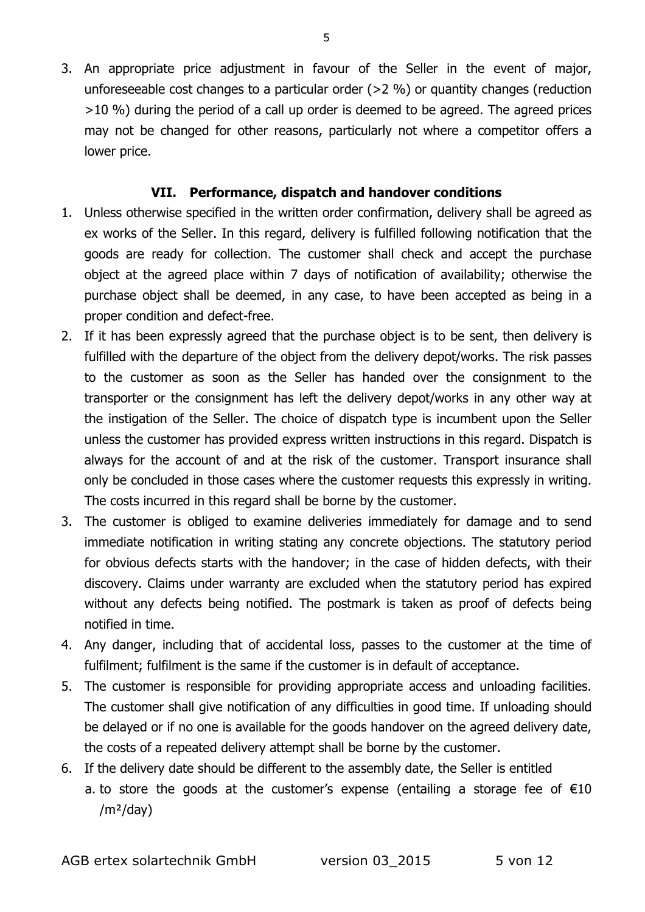3. An appropriate price adjustment in favour of the Seller in the event of major, unforeseeable cost changes to a particular order (>2 %) or quantity changes (reduction >10 %) during the period of a call up order is deemed to be agreed. The agreed prices may not be changed for other reasons, particularly not where a competitor offers a lower price.

## VII. Performance, dispatch and handover conditions

- 1. Unless otherwise specified in the written order confirmation, delivery shall be agreed as ex works of the Seller. In this regard, delivery is fulfilled following notification that the goods are ready for collection. The customer shall check and accept the purchase object at the agreed place within 7 days of notification of availability; otherwise the purchase object shall be deemed, in any case, to have been accepted as being in a proper condition and defect-free.
- 2. If it has been expressly agreed that the purchase object is to be sent, then delivery is fulfilled with the departure of the object from the delivery depot/works. The risk passes to the customer as soon as the Seller has handed over the consignment to the transporter or the consignment has left the delivery depot/works in any other way at the instigation of the Seller. The choice of dispatch type is incumbent upon the Seller unless the customer has provided express written instructions in this regard. Dispatch is always for the account of and at the risk of the customer. Transport insurance shall only be concluded in those cases where the customer requests this expressly in writing. The costs incurred in this regard shall be borne by the customer.
- 3. The customer is obliged to examine deliveries immediately for damage and to send immediate notification in writing stating any concrete objections. The statutory period for obvious defects starts with the handover; in the case of hidden defects, with their discovery. Claims under warranty are excluded when the statutory period has expired without any defects being notified. The postmark is taken as proof of defects being notified in time.
- 4. Any danger, including that of accidental loss, passes to the customer at the time of fulfilment; fulfilment is the same if the customer is in default of acceptance.
- 5. The customer is responsible for providing appropriate access and unloading facilities. The customer shall give notification of any difficulties in good time. If unloading should be delayed or if no one is available for the goods handover on the agreed delivery date, the costs of a repeated delivery attempt shall be borne by the customer.
- 6. If the delivery date should be different to the assembly date, the Seller is entitled a. to store the goods at the customer's expense (entailing a storage fee of  $\epsilon$ 10  $/m<sup>2</sup>/day)$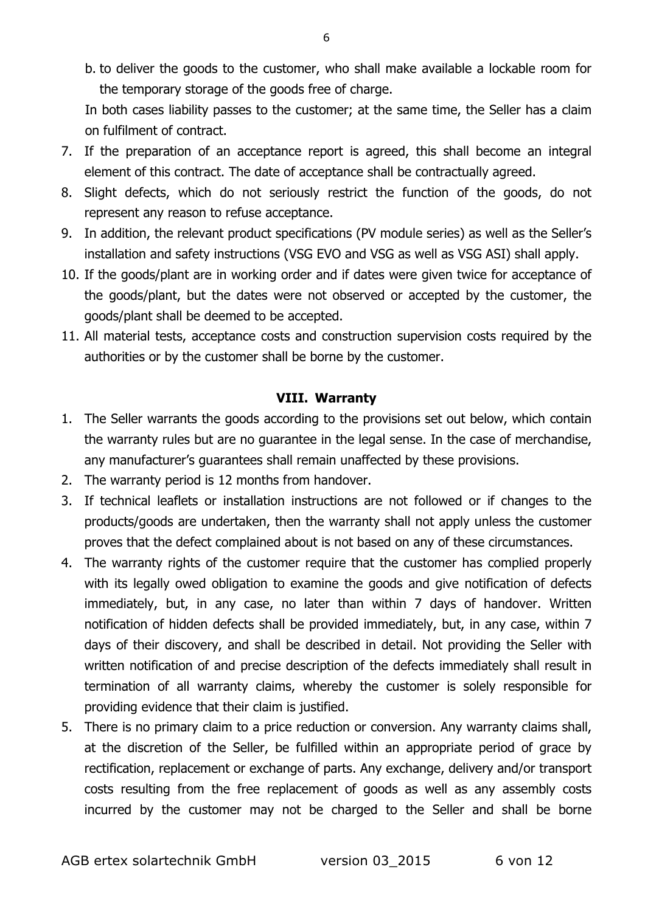b. to deliver the goods to the customer, who shall make available a lockable room for the temporary storage of the goods free of charge.

In both cases liability passes to the customer; at the same time, the Seller has a claim on fulfilment of contract.

- 7. If the preparation of an acceptance report is agreed, this shall become an integral element of this contract. The date of acceptance shall be contractually agreed.
- 8. Slight defects, which do not seriously restrict the function of the goods, do not represent any reason to refuse acceptance.
- 9. In addition, the relevant product specifications (PV module series) as well as the Seller's installation and safety instructions (VSG EVO and VSG as well as VSG ASI) shall apply.
- 10. If the goods/plant are in working order and if dates were given twice for acceptance of the goods/plant, but the dates were not observed or accepted by the customer, the goods/plant shall be deemed to be accepted.
- 11. All material tests, acceptance costs and construction supervision costs required by the authorities or by the customer shall be borne by the customer.

# VIII. Warranty

- 1. The Seller warrants the goods according to the provisions set out below, which contain the warranty rules but are no guarantee in the legal sense. In the case of merchandise, any manufacturer's guarantees shall remain unaffected by these provisions.
- 2. The warranty period is 12 months from handover.
- 3. If technical leaflets or installation instructions are not followed or if changes to the products/goods are undertaken, then the warranty shall not apply unless the customer proves that the defect complained about is not based on any of these circumstances.
- 4. The warranty rights of the customer require that the customer has complied properly with its legally owed obligation to examine the goods and give notification of defects immediately, but, in any case, no later than within 7 days of handover. Written notification of hidden defects shall be provided immediately, but, in any case, within 7 days of their discovery, and shall be described in detail. Not providing the Seller with written notification of and precise description of the defects immediately shall result in termination of all warranty claims, whereby the customer is solely responsible for providing evidence that their claim is justified.
- 5. There is no primary claim to a price reduction or conversion. Any warranty claims shall, at the discretion of the Seller, be fulfilled within an appropriate period of grace by rectification, replacement or exchange of parts. Any exchange, delivery and/or transport costs resulting from the free replacement of goods as well as any assembly costs incurred by the customer may not be charged to the Seller and shall be borne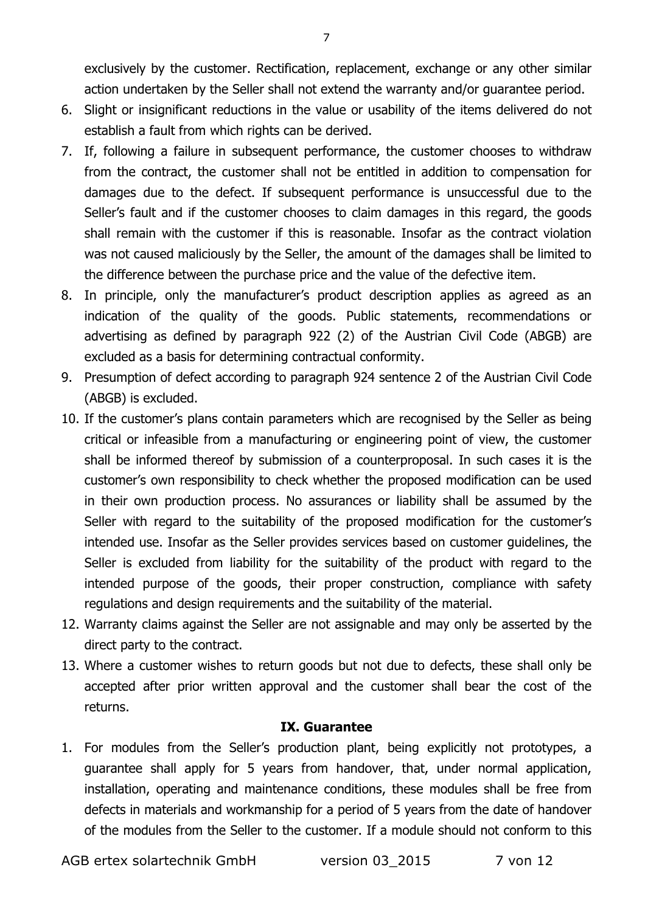- 6. Slight or insignificant reductions in the value or usability of the items delivered do not establish a fault from which rights can be derived.
- 7. If, following a failure in subsequent performance, the customer chooses to withdraw from the contract, the customer shall not be entitled in addition to compensation for damages due to the defect. If subsequent performance is unsuccessful due to the Seller's fault and if the customer chooses to claim damages in this regard, the goods shall remain with the customer if this is reasonable. Insofar as the contract violation was not caused maliciously by the Seller, the amount of the damages shall be limited to the difference between the purchase price and the value of the defective item.
- 8. In principle, only the manufacturer's product description applies as agreed as an indication of the quality of the goods. Public statements, recommendations or advertising as defined by paragraph 922 (2) of the Austrian Civil Code (ABGB) are excluded as a basis for determining contractual conformity.
- 9. Presumption of defect according to paragraph 924 sentence 2 of the Austrian Civil Code (ABGB) is excluded.
- 10. If the customer's plans contain parameters which are recognised by the Seller as being critical or infeasible from a manufacturing or engineering point of view, the customer shall be informed thereof by submission of a counterproposal. In such cases it is the customer's own responsibility to check whether the proposed modification can be used in their own production process. No assurances or liability shall be assumed by the Seller with regard to the suitability of the proposed modification for the customer's intended use. Insofar as the Seller provides services based on customer guidelines, the Seller is excluded from liability for the suitability of the product with regard to the intended purpose of the goods, their proper construction, compliance with safety regulations and design requirements and the suitability of the material.
- 12. Warranty claims against the Seller are not assignable and may only be asserted by the direct party to the contract.
- 13. Where a customer wishes to return goods but not due to defects, these shall only be accepted after prior written approval and the customer shall bear the cost of the returns.

#### IX. Guarantee

1. For modules from the Seller's production plant, being explicitly not prototypes, a guarantee shall apply for 5 years from handover, that, under normal application, installation, operating and maintenance conditions, these modules shall be free from defects in materials and workmanship for a period of 5 years from the date of handover of the modules from the Seller to the customer. If a module should not conform to this

AGB ertex solartechnik GmbH version 03 2015 7 von 12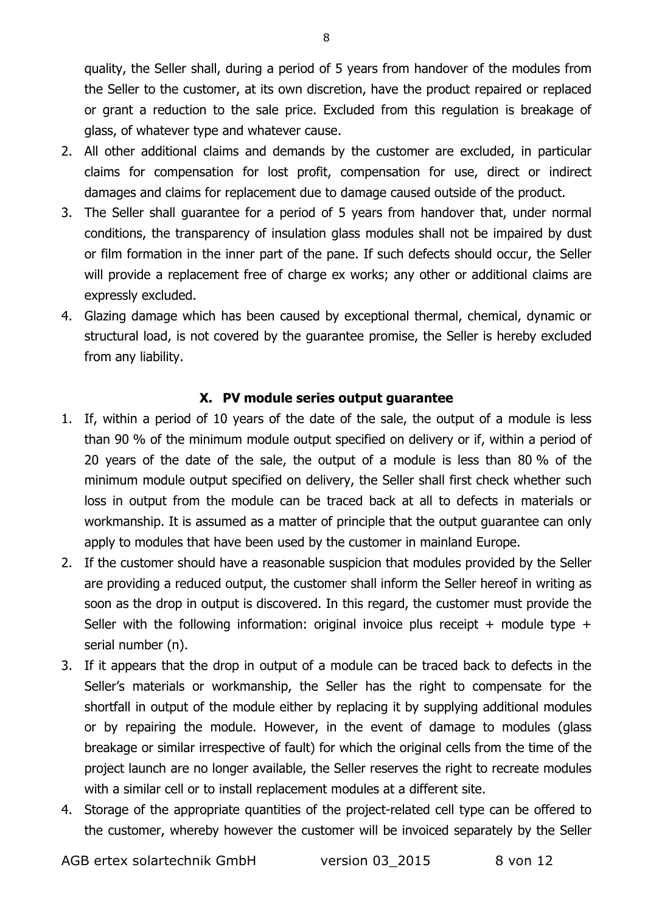quality, the Seller shall, during a period of 5 years from handover of the modules from the Seller to the customer, at its own discretion, have the product repaired or replaced or grant a reduction to the sale price. Excluded from this regulation is breakage of glass, of whatever type and whatever cause.

- 2. All other additional claims and demands by the customer are excluded, in particular claims for compensation for lost profit, compensation for use, direct or indirect damages and claims for replacement due to damage caused outside of the product.
- 3. The Seller shall guarantee for a period of 5 years from handover that, under normal conditions, the transparency of insulation glass modules shall not be impaired by dust or film formation in the inner part of the pane. If such defects should occur, the Seller will provide a replacement free of charge ex works; any other or additional claims are expressly excluded.
- 4. Glazing damage which has been caused by exceptional thermal, chemical, dynamic or structural load, is not covered by the guarantee promise, the Seller is hereby excluded from any liability.

#### X. PV module series output guarantee

- 1. If, within a period of 10 years of the date of the sale, the output of a module is less than 90 % of the minimum module output specified on delivery or if, within a period of 20 years of the date of the sale, the output of a module is less than 80 % of the minimum module output specified on delivery, the Seller shall first check whether such loss in output from the module can be traced back at all to defects in materials or workmanship. It is assumed as a matter of principle that the output guarantee can only apply to modules that have been used by the customer in mainland Europe.
- 2. If the customer should have a reasonable suspicion that modules provided by the Seller are providing a reduced output, the customer shall inform the Seller hereof in writing as soon as the drop in output is discovered. In this regard, the customer must provide the Seller with the following information: original invoice plus receipt + module type + serial number (n).
- 3. If it appears that the drop in output of a module can be traced back to defects in the Seller's materials or workmanship, the Seller has the right to compensate for the shortfall in output of the module either by replacing it by supplying additional modules or by repairing the module. However, in the event of damage to modules (glass breakage or similar irrespective of fault) for which the original cells from the time of the project launch are no longer available, the Seller reserves the right to recreate modules with a similar cell or to install replacement modules at a different site.
- 4. Storage of the appropriate quantities of the project-related cell type can be offered to the customer, whereby however the customer will be invoiced separately by the Seller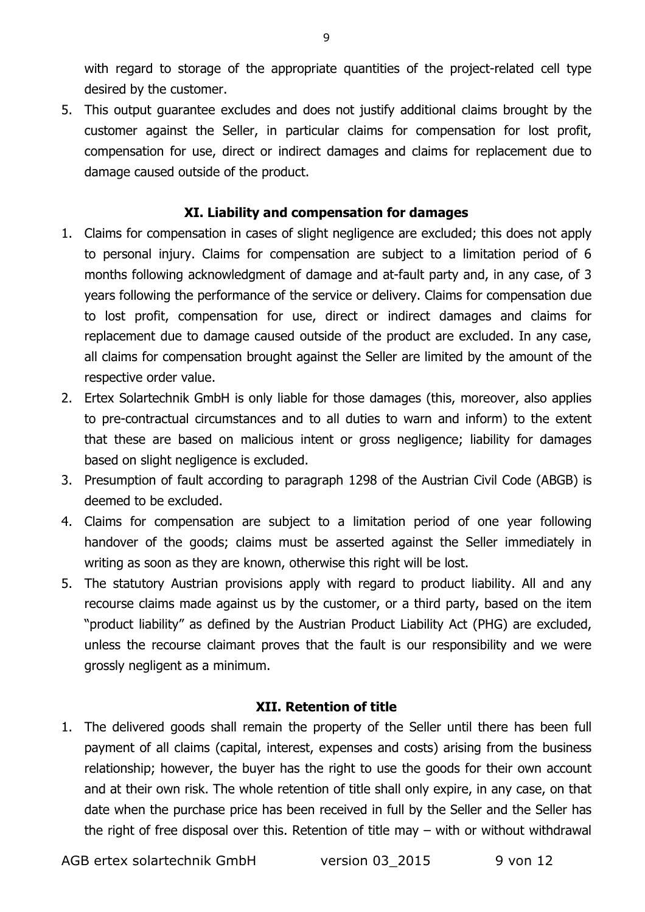with regard to storage of the appropriate quantities of the project-related cell type desired by the customer.

5. This output guarantee excludes and does not justify additional claims brought by the customer against the Seller, in particular claims for compensation for lost profit, compensation for use, direct or indirect damages and claims for replacement due to damage caused outside of the product.

### XI. Liability and compensation for damages

- 1. Claims for compensation in cases of slight negligence are excluded; this does not apply to personal injury. Claims for compensation are subject to a limitation period of 6 months following acknowledgment of damage and at-fault party and, in any case, of 3 years following the performance of the service or delivery. Claims for compensation due to lost profit, compensation for use, direct or indirect damages and claims for replacement due to damage caused outside of the product are excluded. In any case, all claims for compensation brought against the Seller are limited by the amount of the respective order value.
- 2. Ertex Solartechnik GmbH is only liable for those damages (this, moreover, also applies to pre-contractual circumstances and to all duties to warn and inform) to the extent that these are based on malicious intent or gross negligence; liability for damages based on slight negligence is excluded.
- 3. Presumption of fault according to paragraph 1298 of the Austrian Civil Code (ABGB) is deemed to be excluded.
- 4. Claims for compensation are subject to a limitation period of one year following handover of the goods; claims must be asserted against the Seller immediately in writing as soon as they are known, otherwise this right will be lost.
- 5. The statutory Austrian provisions apply with regard to product liability. All and any recourse claims made against us by the customer, or a third party, based on the item "product liability" as defined by the Austrian Product Liability Act (PHG) are excluded, unless the recourse claimant proves that the fault is our responsibility and we were grossly negligent as a minimum.

#### XII. Retention of title

1. The delivered goods shall remain the property of the Seller until there has been full payment of all claims (capital, interest, expenses and costs) arising from the business relationship; however, the buyer has the right to use the goods for their own account and at their own risk. The whole retention of title shall only expire, in any case, on that date when the purchase price has been received in full by the Seller and the Seller has the right of free disposal over this. Retention of title may – with or without withdrawal

AGB ertex solartechnik GmbH version 03 2015 9 von 12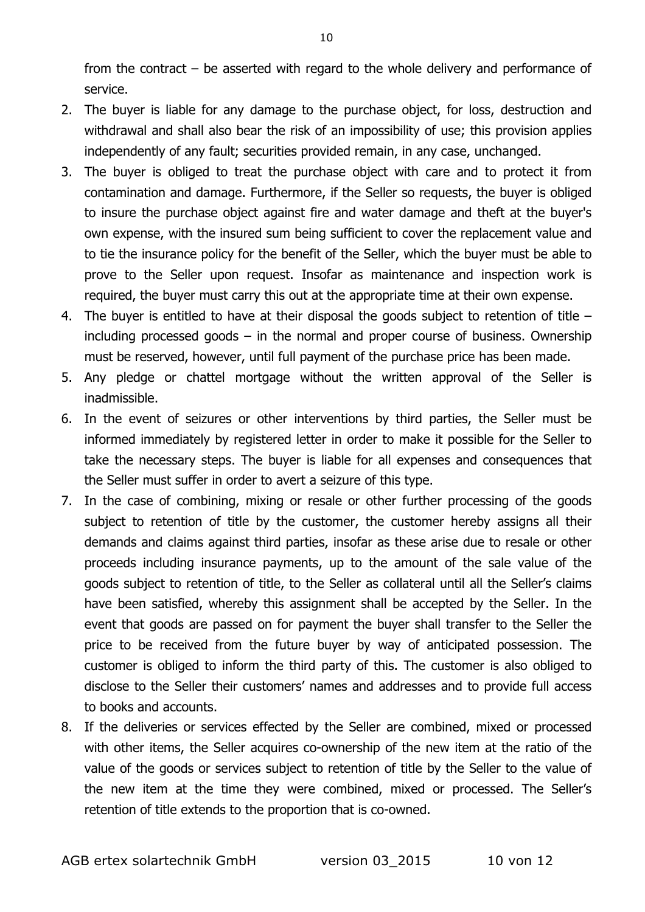from the contract – be asserted with regard to the whole delivery and performance of service.

- 2. The buyer is liable for any damage to the purchase object, for loss, destruction and withdrawal and shall also bear the risk of an impossibility of use; this provision applies independently of any fault; securities provided remain, in any case, unchanged.
- 3. The buyer is obliged to treat the purchase object with care and to protect it from contamination and damage. Furthermore, if the Seller so requests, the buyer is obliged to insure the purchase object against fire and water damage and theft at the buyer's own expense, with the insured sum being sufficient to cover the replacement value and to tie the insurance policy for the benefit of the Seller, which the buyer must be able to prove to the Seller upon request. Insofar as maintenance and inspection work is required, the buyer must carry this out at the appropriate time at their own expense.
- 4. The buyer is entitled to have at their disposal the goods subject to retention of title including processed goods – in the normal and proper course of business. Ownership must be reserved, however, until full payment of the purchase price has been made.
- 5. Any pledge or chattel mortgage without the written approval of the Seller is inadmissible.
- 6. In the event of seizures or other interventions by third parties, the Seller must be informed immediately by registered letter in order to make it possible for the Seller to take the necessary steps. The buyer is liable for all expenses and consequences that the Seller must suffer in order to avert a seizure of this type.
- 7. In the case of combining, mixing or resale or other further processing of the goods subject to retention of title by the customer, the customer hereby assigns all their demands and claims against third parties, insofar as these arise due to resale or other proceeds including insurance payments, up to the amount of the sale value of the goods subject to retention of title, to the Seller as collateral until all the Seller's claims have been satisfied, whereby this assignment shall be accepted by the Seller. In the event that goods are passed on for payment the buyer shall transfer to the Seller the price to be received from the future buyer by way of anticipated possession. The customer is obliged to inform the third party of this. The customer is also obliged to disclose to the Seller their customers' names and addresses and to provide full access to books and accounts.
- 8. If the deliveries or services effected by the Seller are combined, mixed or processed with other items, the Seller acquires co-ownership of the new item at the ratio of the value of the goods or services subject to retention of title by the Seller to the value of the new item at the time they were combined, mixed or processed. The Seller's retention of title extends to the proportion that is co-owned.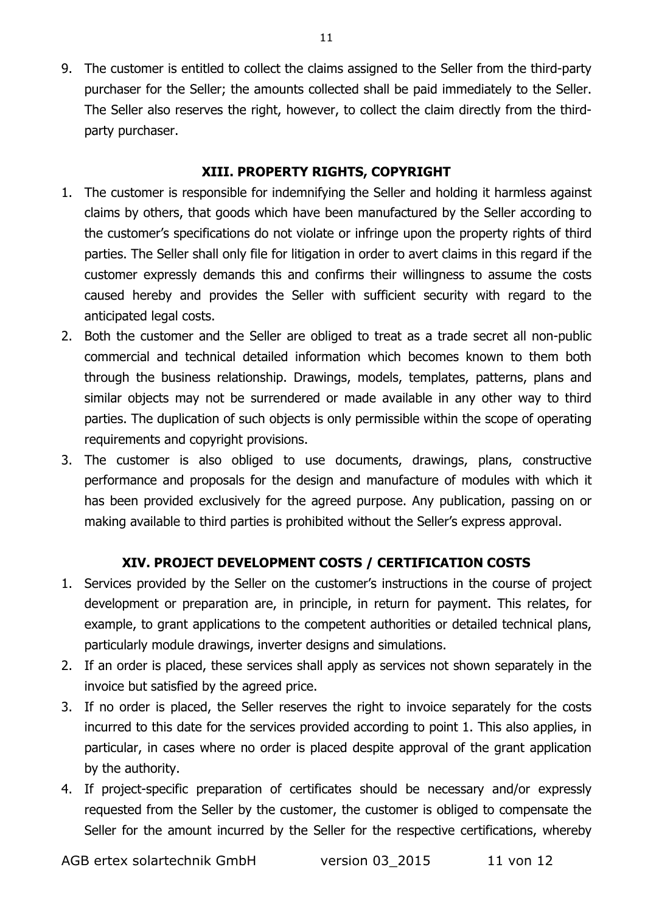9. The customer is entitled to collect the claims assigned to the Seller from the third-party purchaser for the Seller; the amounts collected shall be paid immediately to the Seller. The Seller also reserves the right, however, to collect the claim directly from the thirdparty purchaser.

## XIII. PROPERTY RIGHTS, COPYRIGHT

- 1. The customer is responsible for indemnifying the Seller and holding it harmless against claims by others, that goods which have been manufactured by the Seller according to the customer's specifications do not violate or infringe upon the property rights of third parties. The Seller shall only file for litigation in order to avert claims in this regard if the customer expressly demands this and confirms their willingness to assume the costs caused hereby and provides the Seller with sufficient security with regard to the anticipated legal costs.
- 2. Both the customer and the Seller are obliged to treat as a trade secret all non-public commercial and technical detailed information which becomes known to them both through the business relationship. Drawings, models, templates, patterns, plans and similar objects may not be surrendered or made available in any other way to third parties. The duplication of such objects is only permissible within the scope of operating requirements and copyright provisions.
- 3. The customer is also obliged to use documents, drawings, plans, constructive performance and proposals for the design and manufacture of modules with which it has been provided exclusively for the agreed purpose. Any publication, passing on or making available to third parties is prohibited without the Seller's express approval.

# XIV. PROJECT DEVELOPMENT COSTS / CERTIFICATION COSTS

- 1. Services provided by the Seller on the customer's instructions in the course of project development or preparation are, in principle, in return for payment. This relates, for example, to grant applications to the competent authorities or detailed technical plans, particularly module drawings, inverter designs and simulations.
- 2. If an order is placed, these services shall apply as services not shown separately in the invoice but satisfied by the agreed price.
- 3. If no order is placed, the Seller reserves the right to invoice separately for the costs incurred to this date for the services provided according to point 1. This also applies, in particular, in cases where no order is placed despite approval of the grant application by the authority.
- 4. If project-specific preparation of certificates should be necessary and/or expressly requested from the Seller by the customer, the customer is obliged to compensate the Seller for the amount incurred by the Seller for the respective certifications, whereby